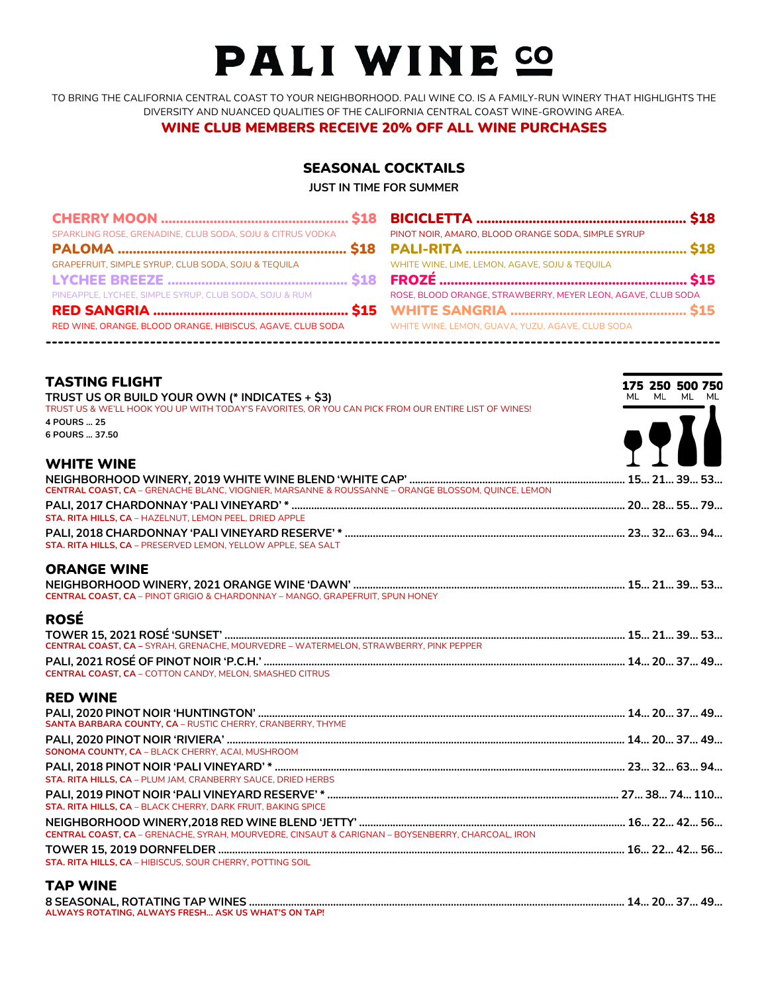# PALI WINE CO

TO BRING THE CALIFORNIA CENTRAL COAST TO YOUR NEIGHBORHOOD. PALI WINE CO. IS A FAMILY-RUN WINERY THAT HIGHLIGHTS THE DIVERSITY AND NUANCED QUALITIES OF THE CALIFORNIA CENTRAL COAST WINE-GROWING AREA.

WINE CLUB MEMBERS RECEIVE 20% OFF ALL WINE PURCHASES

# SEASONAL COCKTAILS

**JUST IN TIME FOR SUMMER**

| SPARKLING ROSE, GRENADINE, CLUB SODA, SOJU & CITRUS VODKA  | PINOT NOIR, AMARO, BLOOD ORANGE SODA, SIMPLE SYRUP           |  |
|------------------------------------------------------------|--------------------------------------------------------------|--|
|                                                            |                                                              |  |
| GRAPEFRUIT, SIMPLE SYRUP, CLUB SODA, SOJU & TEQUILA        | WHITE WINE, LIME, LEMON, AGAVE, SOJU & TEQUILA               |  |
|                                                            |                                                              |  |
| PINEAPPLE, LYCHEE, SIMPLE SYRUP, CLUB SODA, SOJU & RUM     | ROSE, BLOOD ORANGE, STRAWBERRY, MEYER LEON, AGAVE, CLUB SODA |  |
|                                                            |                                                              |  |
| RED WINE, ORANGE, BLOOD ORANGE, HIBISCUS, AGAVE, CLUB SODA | WHITE WINE, LEMON, GUAVA, YUZU, AGAVE, CLUB SODA             |  |

| <b>TASTING FLIGHT</b><br>TRUST US OR BUILD YOUR OWN (* INDICATES + \$3)                             | 175 250 500 750<br>ML ML ML ML |
|-----------------------------------------------------------------------------------------------------|--------------------------------|
| TRUST US & WE'LL HOOK YOU UP WITH TODAY'S FAVORITES, OR YOU CAN PICK FROM OUR ENTIRE LIST OF WINES! |                                |
| 4 POURS  25<br>6 POURS  37.50                                                                       |                                |
|                                                                                                     | <b>9911</b>                    |
| <b>WHITE WINE</b>                                                                                   |                                |
| CENTRAL COAST, CA - GRENACHE BLANC, VIOGNIER, MARSANNE & ROUSSANNE - ORANGE BLOSSOM, QUINCE, LEMON  |                                |
| STA. RITA HILLS, CA - HAZELNUT, LEMON PEEL, DRIED APPLE                                             |                                |
|                                                                                                     |                                |
| STA. RITA HILLS, CA - PRESERVED LEMON, YELLOW APPLE, SEA SALT                                       |                                |
| <b>ORANGE WINE</b>                                                                                  |                                |
| <b>CENTRAL COAST, CA</b> - PINOT GRIGIO & CHARDONNAY - MANGO, GRAPEFRUIT, SPUN HONEY                |                                |
| <b>ROSÉ</b>                                                                                         |                                |
| CENTRAL COAST, CA - SYRAH, GRENACHE, MOURVEDRE - WATERMELON, STRAWBERRY, PINK PEPPER                |                                |
| <b>CENTRAL COAST, CA - COTTON CANDY, MELON, SMASHED CITRUS</b>                                      |                                |
| <b>RED WINE</b>                                                                                     |                                |
|                                                                                                     |                                |
| SANTA BARBARA COUNTY, CA - RUSTIC CHERRY, CRANBERRY, THYME                                          |                                |
|                                                                                                     |                                |
| SONOMA COUNTY, CA - BLACK CHERRY, ACAI, MUSHROOM                                                    |                                |
| STA. RITA HILLS, CA - PLUM JAM, CRANBERRY SAUCE, DRIED HERBS                                        |                                |
|                                                                                                     |                                |
| STA. RITA HILLS, CA - BLACK CHERRY, DARK FRUIT, BAKING SPICE                                        |                                |
|                                                                                                     |                                |
| CENTRAL COAST, CA - GRENACHE, SYRAH, MOURVEDRE, CINSAUT & CARIGNAN - BOYSENBERRY, CHARCOAL, IRON    |                                |
| <b>STA, RITA HILLS, CA - HIBISCUS, SOUR CHERRY, POTTING SOIL</b>                                    |                                |
|                                                                                                     |                                |
| <b>TAP WINE</b>                                                                                     |                                |
|                                                                                                     |                                |

**ALWAYS ROTATING, ALWAYS FRESH… ASK US WHAT'S ON TAP!**